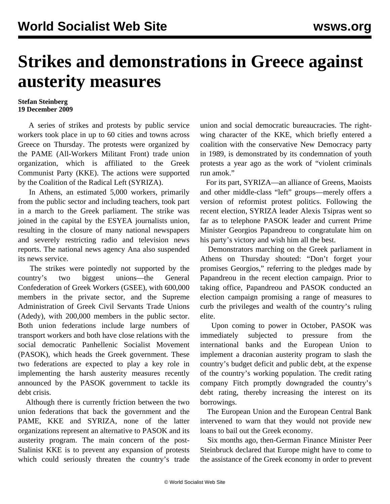## **Strikes and demonstrations in Greece against austerity measures**

## **Stefan Steinberg 19 December 2009**

 A series of strikes and protests by public service workers took place in up to 60 cities and towns across Greece on Thursday. The protests were organized by the PAME (All-Workers Militant Front) trade union organization, which is affiliated to the Greek Communist Party (KKE). The actions were supported by the Coalition of the Radical Left (SYRIZA).

 In Athens, an estimated 5,000 workers, primarily from the public sector and including teachers, took part in a march to the Greek parliament. The strike was joined in the capital by the ESYEA journalists union, resulting in the closure of many national newspapers and severely restricting radio and television news reports. The national news agency Ana also suspended its news service.

 The strikes were pointedly not supported by the country's two biggest unions—the General Confederation of Greek Workers (GSEE), with 600,000 members in the private sector, and the Supreme Administration of Greek Civil Servants Trade Unions (Adedy), with 200,000 members in the public sector. Both union federations include large numbers of transport workers and both have close relations with the social democratic Panhellenic Socialist Movement (PASOK), which heads the Greek government. These two federations are expected to play a key role in implementing the harsh austerity measures recently announced by the PASOK government to tackle its debt crisis.

 Although there is currently friction between the two union federations that back the government and the PAME, KKE and SYRIZA, none of the latter organizations represent an alternative to PASOK and its austerity program. The main concern of the post-Stalinist KKE is to prevent any expansion of protests which could seriously threaten the country's trade union and social democratic bureaucracies. The rightwing character of the KKE, which briefly entered a coalition with the conservative New Democracy party in 1989, is demonstrated by its condemnation of youth protests a year ago as the work of "violent criminals run amok."

 For its part, SYRIZA—an alliance of Greens, Maoists and other middle-class "left" groups—merely offers a version of reformist protest politics. Following the recent election, SYRIZA leader Alexis Tsipras went so far as to telephone PASOK leader and current Prime Minister Georgios Papandreou to congratulate him on his party's victory and wish him all the best.

 Demonstrators marching on the Greek parliament in Athens on Thursday shouted: "Don't forget your promises Georgios," referring to the pledges made by Papandreou in the recent election campaign. Prior to taking office, Papandreou and PASOK conducted an election campaign promising a range of measures to curb the privileges and wealth of the country's ruling elite.

 Upon coming to power in October, PASOK was immediately subjected to pressure from the international banks and the European Union to implement a draconian austerity program to slash the country's budget deficit and public debt, at the expense of the country's working population. The credit rating company Fitch promptly downgraded the country's debt rating, thereby increasing the interest on its borrowings.

 The European Union and the European Central Bank intervened to warn that they would not provide new loans to bail out the Greek economy.

 Six months ago, then-German Finance Minister Peer Steinbruck declared that Europe might have to come to the assistance of the Greek economy in order to prevent